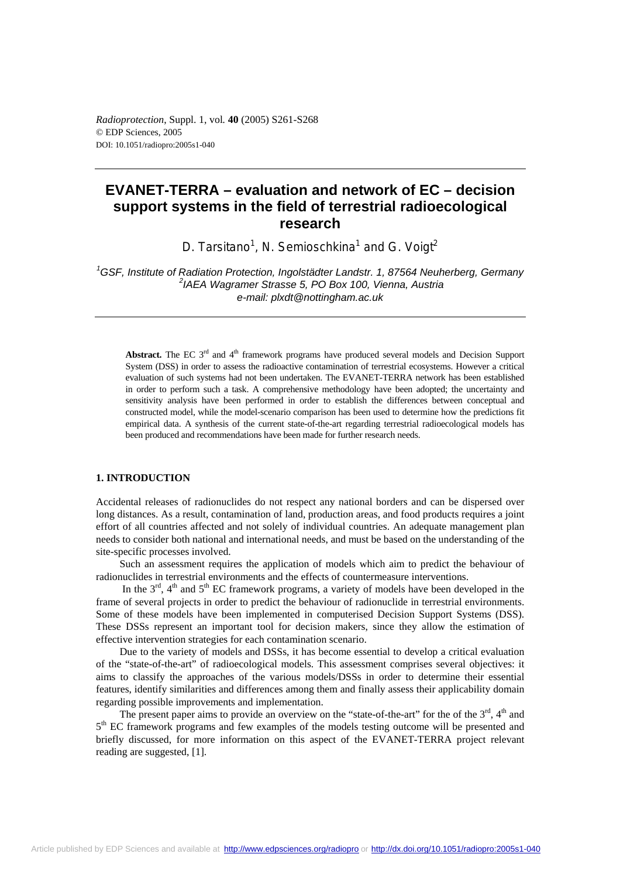# **EVANET-TERRA – evaluation and network of EC – decision support systems in the field of terrestrial radioecological research**

D. Tarsitano<sup>1</sup>, N. Semioschkina<sup>1</sup> and G. Voigt<sup>2</sup>

<sup>1</sup>GSF, Institute of Radiation Protection, Ingolstädter Landstr. 1, 87564 Neuherberg, Germany *2 IAEA Wagramer Strasse 5, PO Box 100, Vienna, Austria e-mail: plxdt@nottingham.ac.uk*

Abstract. The EC 3<sup>rd</sup> and 4<sup>th</sup> framework programs have produced several models and Decision Support System (DSS) in order to assess the radioactive contamination of terrestrial ecosystems. However a critical evaluation of such systems had not been undertaken. The EVANET-TERRA network has been established in order to perform such a task. A comprehensive methodology have been adopted; the uncertainty and sensitivity analysis have been performed in order to establish the differences between conceptual and constructed model, while the model-scenario comparison has been used to determine how the predictions fit empirical data. A synthesis of the current state-of-the-art regarding terrestrial radioecological models has been produced and recommendations have been made for further research needs.

# **1. INTRODUCTION**

Accidental releases of radionuclides do not respect any national borders and can be dispersed over long distances. As a result, contamination of land, production areas, and food products requires a joint effort of all countries affected and not solely of individual countries. An adequate management plan needs to consider both national and international needs, and must be based on the understanding of the site-specific processes involved.

Such an assessment requires the application of models which aim to predict the behaviour of radionuclides in terrestrial environments and the effects of countermeasure interventions.

In the  $3<sup>rd</sup>$ ,  $4<sup>th</sup>$  and  $5<sup>th</sup>$  EC framework programs, a variety of models have been developed in the frame of several projects in order to predict the behaviour of radionuclide in terrestrial environments. Some of these models have been implemented in computerised Decision Support Systems (DSS). These DSSs represent an important tool for decision makers, since they allow the estimation of effective intervention strategies for each contamination scenario.

Due to the variety of models and DSSs, it has become essential to develop a critical evaluation of the "state-of-the-art" of radioecological models. This assessment comprises several objectives: it aims to classify the approaches of the various models/DSSs in order to determine their essential features, identify similarities and differences among them and finally assess their applicability domain regarding possible improvements and implementation.

The present paper aims to provide an overview on the "state-of-the-art" for the of the  $3<sup>rd</sup>$ ,  $4<sup>th</sup>$  and 5<sup>th</sup> EC framework programs and few examples of the models testing outcome will be presented and briefly discussed, for more information on this aspect of the EVANET-TERRA project relevant reading are suggested, [1].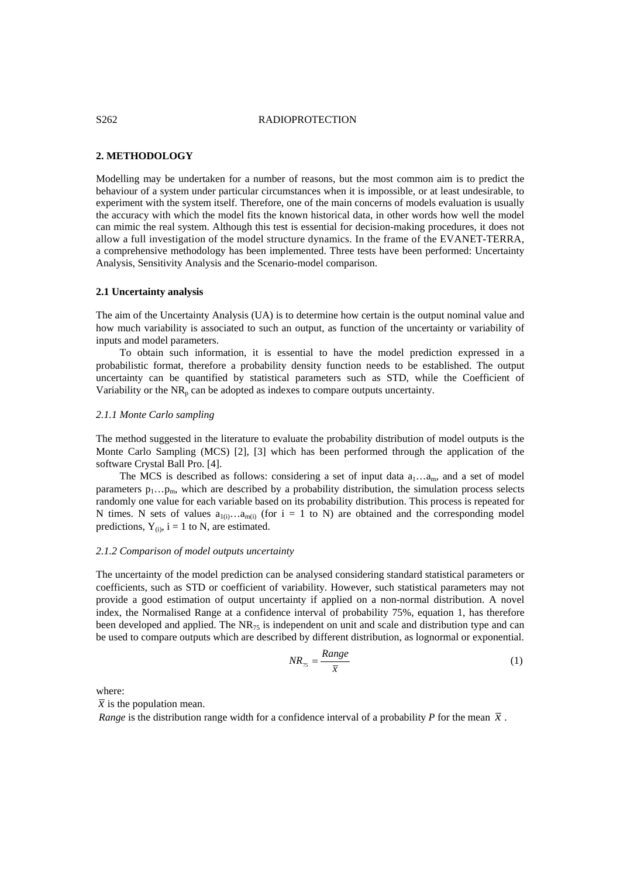# S262 RADIOPROTECTION

# **2. METHODOLOGY**

Modelling may be undertaken for a number of reasons, but the most common aim is to predict the behaviour of a system under particular circumstances when it is impossible, or at least undesirable, to experiment with the system itself. Therefore, one of the main concerns of models evaluation is usually the accuracy with which the model fits the known historical data, in other words how well the model can mimic the real system. Although this test is essential for decision-making procedures, it does not allow a full investigation of the model structure dynamics. In the frame of the EVANET-TERRA, a comprehensive methodology has been implemented. Three tests have been performed: Uncertainty Analysis, Sensitivity Analysis and the Scenario-model comparison.

# **2.1 Uncertainty analysis**

The aim of the Uncertainty Analysis (UA) is to determine how certain is the output nominal value and how much variability is associated to such an output, as function of the uncertainty or variability of inputs and model parameters.

To obtain such information, it is essential to have the model prediction expressed in a probabilistic format, therefore a probability density function needs to be established. The output uncertainty can be quantified by statistical parameters such as STD, while the Coefficient of Variability or the  $NR_p$  can be adopted as indexes to compare outputs uncertainty.

# *2.1.1 Monte Carlo sampling*

The method suggested in the literature to evaluate the probability distribution of model outputs is the Monte Carlo Sampling (MCS) [2], [3] which has been performed through the application of the software Crystal Ball Pro. [4].

The MCS is described as follows: considering a set of input data  $a_1...a_m$ , and a set of model parameters  $p_1 \ldots p_m$ , which are described by a probability distribution, the simulation process selects randomly one value for each variable based on its probability distribution. This process is repeated for N times. N sets of values  $a_{1(i)}...a_{m(i)}$  (for  $i = 1$  to N) are obtained and the corresponding model predictions,  $Y_{(i)}$ ,  $i = 1$  to N, are estimated.

## *2.1.2 Comparison of model outputs uncertainty*

The uncertainty of the model prediction can be analysed considering standard statistical parameters or coefficients, such as STD or coefficient of variability. However, such statistical parameters may not provide a good estimation of output uncertainty if applied on a non-normal distribution. A novel index, the Normalised Range at a confidence interval of probability 75%, equation 1, has therefore been developed and applied. The  $NR_{75}$  is independent on unit and scale and distribution type and can be used to compare outputs which are described by different distribution, as lognormal or exponential.

$$
NR_{75} = \frac{Range}{\overline{x}} \tag{1}
$$

where:

 $\bar{x}$  is the population mean.

*Range* is the distribution range width for a confidence interval of a probability *P* for the mean  $\bar{x}$ .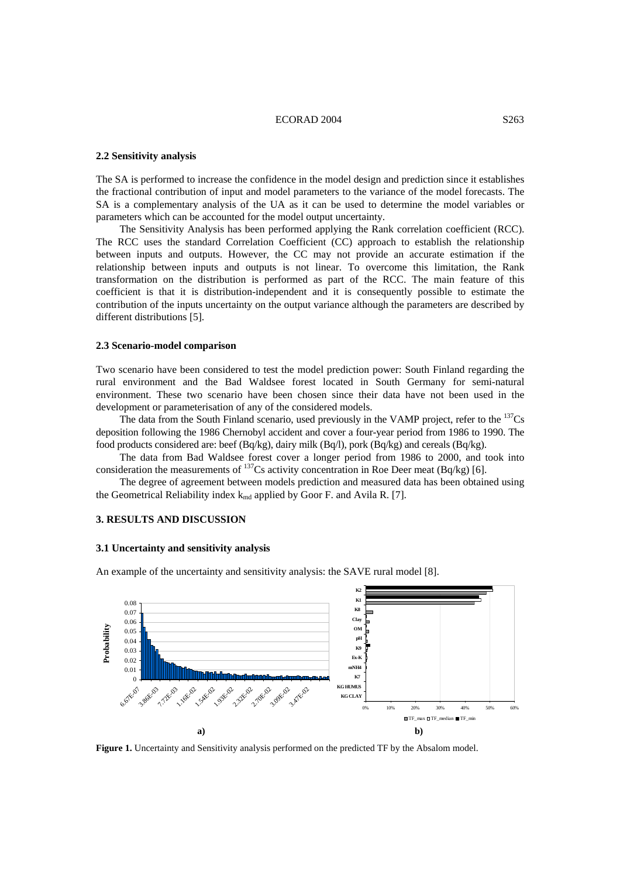# ECORAD 2004 S263

#### **2.2 Sensitivity analysis**

The SA is performed to increase the confidence in the model design and prediction since it establishes the fractional contribution of input and model parameters to the variance of the model forecasts. The SA is a complementary analysis of the UA as it can be used to determine the model variables or parameters which can be accounted for the model output uncertainty.

The Sensitivity Analysis has been performed applying the Rank correlation coefficient (RCC). The RCC uses the standard Correlation Coefficient (CC) approach to establish the relationship between inputs and outputs. However, the CC may not provide an accurate estimation if the relationship between inputs and outputs is not linear. To overcome this limitation, the Rank transformation on the distribution is performed as part of the RCC. The main feature of this coefficient is that it is distribution-independent and it is consequently possible to estimate the contribution of the inputs uncertainty on the output variance although the parameters are described by different distributions [5].

# **2.3 Scenario-model comparison**

Two scenario have been considered to test the model prediction power: South Finland regarding the rural environment and the Bad Waldsee forest located in South Germany for semi-natural environment. These two scenario have been chosen since their data have not been used in the development or parameterisation of any of the considered models.

The data from the South Finland scenario, used previously in the VAMP project, refer to the  $^{137}Cs$ deposition following the 1986 Chernobyl accident and cover a four-year period from 1986 to 1990. The food products considered are: beef (Bq/kg), dairy milk (Bq/l), pork (Bq/kg) and cereals (Bq/kg).

The data from Bad Waldsee forest cover a longer period from 1986 to 2000, and took into consideration the measurements of  $^{137}Cs$  activity concentration in Roe Deer meat (Bq/kg) [6].

The degree of agreement between models prediction and measured data has been obtained using the Geometrical Reliability index  $k_{md}$  applied by Goor F. and Avila R. [7].

# **3. RESULTS AND DISCUSSION**

### **3.1 Uncertainty and sensitivity analysis**

An example of the uncertainty and sensitivity analysis: the SAVE rural model [8].



**Figure 1.** Uncertainty and Sensitivity analysis performed on the predicted TF by the Absalom model.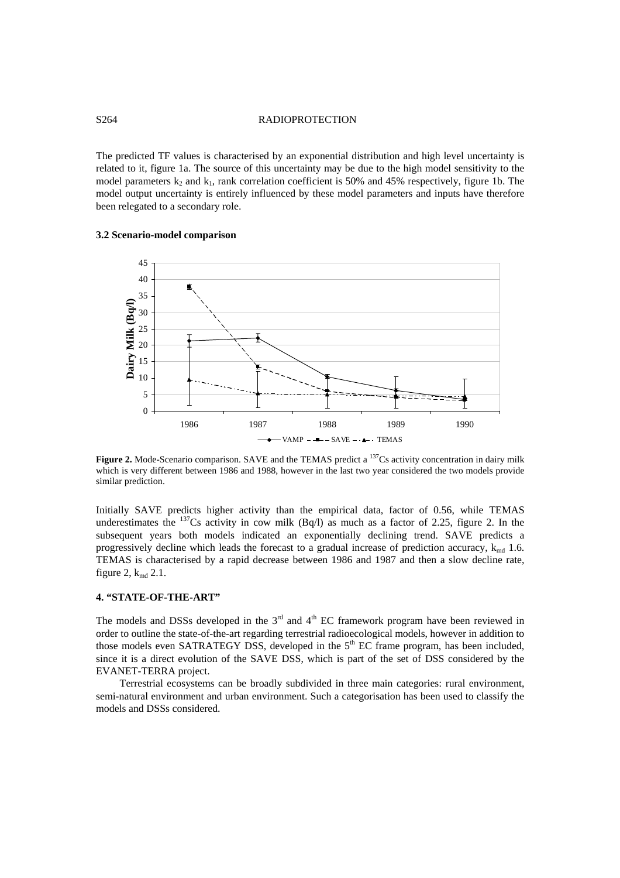# S264 RADIOPROTECTION

The predicted TF values is characterised by an exponential distribution and high level uncertainty is related to it, figure 1a. The source of this uncertainty may be due to the high model sensitivity to the model parameters  $k_2$  and  $k_1$ , rank correlation coefficient is 50% and 45% respectively, figure 1b. The model output uncertainty is entirely influenced by these model parameters and inputs have therefore been relegated to a secondary role.

# **3.2 Scenario-model comparison**



**Figure 2.** Mode-Scenario comparison. SAVE and the TEMAS predict a <sup>137</sup>Cs activity concentration in dairy milk which is very different between 1986 and 1988, however in the last two year considered the two models provide similar prediction.

Initially SAVE predicts higher activity than the empirical data, factor of 0.56, while TEMAS underestimates the  $^{137}$ Cs activity in cow milk (Bq/l) as much as a factor of 2.25, figure 2. In the subsequent years both models indicated an exponentially declining trend. SAVE predicts a progressively decline which leads the forecast to a gradual increase of prediction accuracy,  $k_{\text{md}}$  1.6. TEMAS is characterised by a rapid decrease between 1986 and 1987 and then a slow decline rate, figure 2,  $k_{\text{md}}$  2.1.

# **4. "STATE-OF-THE-ART"**

The models and DSSs developed in the  $3<sup>rd</sup>$  and  $4<sup>th</sup>$  EC framework program have been reviewed in order to outline the state-of-the-art regarding terrestrial radioecological models, however in addition to those models even SATRATEGY DSS, developed in the  $5<sup>th</sup> EC$  frame program, has been included, since it is a direct evolution of the SAVE DSS, which is part of the set of DSS considered by the EVANET-TERRA project.

Terrestrial ecosystems can be broadly subdivided in three main categories: rural environment, semi-natural environment and urban environment. Such a categorisation has been used to classify the models and DSSs considered.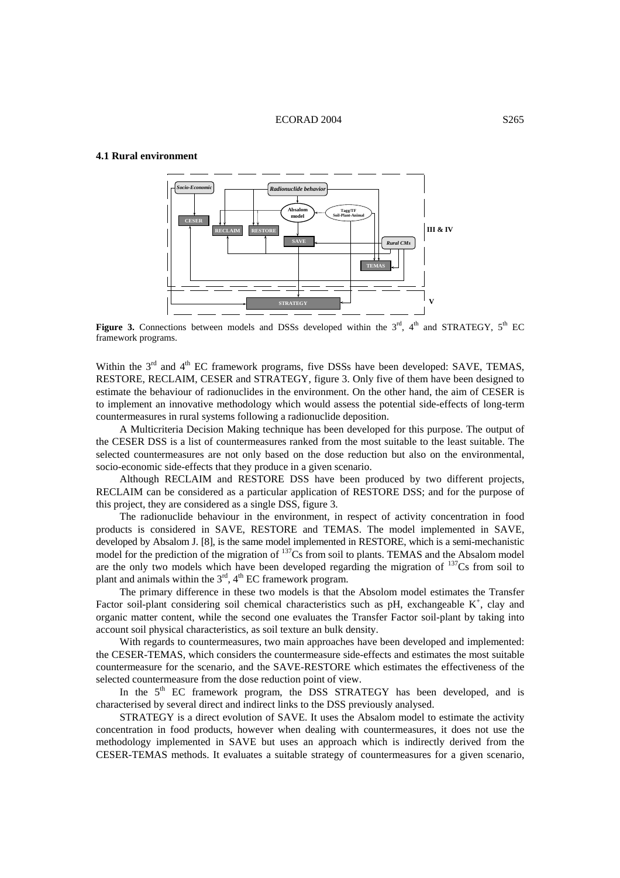# **4.1 Rural environment**



**Figure 3.** Connections between models and DSSs developed within the  $3<sup>rd</sup>$ ,  $4<sup>th</sup>$  and STRATEGY,  $5<sup>th</sup>$  EC framework programs.

Within the 3<sup>rd</sup> and 4<sup>th</sup> EC framework programs, five DSSs have been developed: SAVE, TEMAS, RESTORE, RECLAIM, CESER and STRATEGY, figure 3. Only five of them have been designed to estimate the behaviour of radionuclides in the environment. On the other hand, the aim of CESER is to implement an innovative methodology which would assess the potential side-effects of long-term countermeasures in rural systems following a radionuclide deposition.

A Multicriteria Decision Making technique has been developed for this purpose. The output of the CESER DSS is a list of countermeasures ranked from the most suitable to the least suitable. The selected countermeasures are not only based on the dose reduction but also on the environmental, socio-economic side-effects that they produce in a given scenario.

Although RECLAIM and RESTORE DSS have been produced by two different projects, RECLAIM can be considered as a particular application of RESTORE DSS; and for the purpose of this project, they are considered as a single DSS, figure 3.

The radionuclide behaviour in the environment, in respect of activity concentration in food products is considered in SAVE, RESTORE and TEMAS. The model implemented in SAVE, developed by Absalom J. [8], is the same model implemented in RESTORE, which is a semi-mechanistic model for the prediction of the migration of <sup>137</sup>Cs from soil to plants. TEMAS and the Absalom model are the only two models which have been developed regarding the migration of  $^{137}Cs$  from soil to plant and animals within the  $3<sup>rd</sup>$ ,  $4<sup>th</sup>$  EC framework program.

The primary difference in these two models is that the Absolom model estimates the Transfer Factor soil-plant considering soil chemical characteristics such as pH, exchangeable  $K^+$ , clay and organic matter content, while the second one evaluates the Transfer Factor soil-plant by taking into account soil physical characteristics, as soil texture an bulk density.

With regards to countermeasures, two main approaches have been developed and implemented: the CESER-TEMAS, which considers the countermeasure side-effects and estimates the most suitable countermeasure for the scenario, and the SAVE-RESTORE which estimates the effectiveness of the selected countermeasure from the dose reduction point of view.

In the 5<sup>th</sup> EC framework program, the DSS STRATEGY has been developed, and is characterised by several direct and indirect links to the DSS previously analysed.

STRATEGY is a direct evolution of SAVE. It uses the Absalom model to estimate the activity concentration in food products, however when dealing with countermeasures, it does not use the methodology implemented in SAVE but uses an approach which is indirectly derived from the CESER-TEMAS methods. It evaluates a suitable strategy of countermeasures for a given scenario,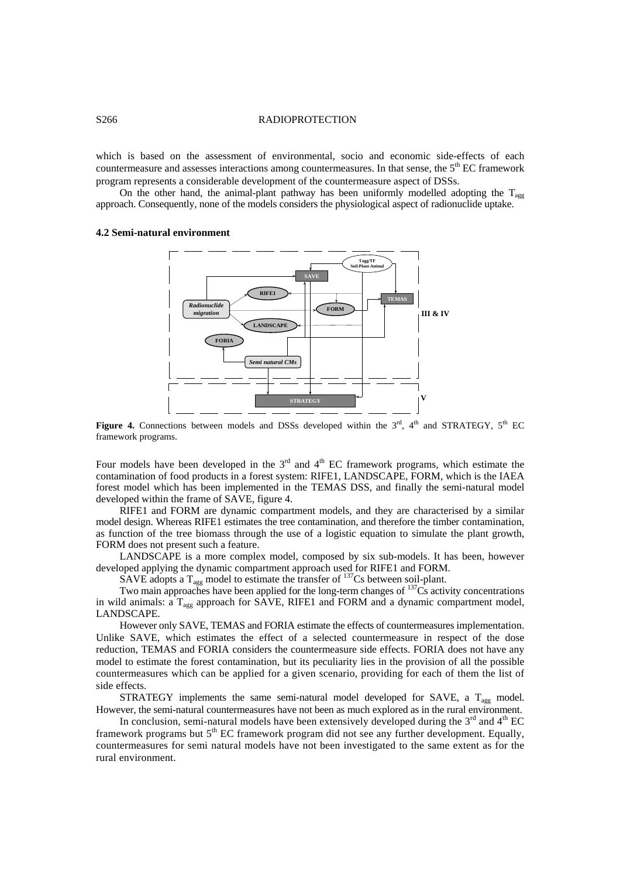# S<sub>266</sub> RADIOPROTECTION

which is based on the assessment of environmental, socio and economic side-effects of each countermeasure and assesses interactions among countermeasures. In that sense, the 5<sup>th</sup> EC framework program represents a considerable development of the countermeasure aspect of DSSs.

On the other hand, the animal-plant pathway has been uniformly modelled adopting the  $T_{\text{agg}}$ approach. Consequently, none of the models considers the physiological aspect of radionuclide uptake.

#### **4.2 Semi-natural environment**



Figure 4. Connections between models and DSSs developed within the 3<sup>rd</sup>, 4<sup>th</sup> and STRATEGY, 5<sup>th</sup> EC framework programs.

Four models have been developed in the  $3<sup>rd</sup>$  and  $4<sup>th</sup>$  EC framework programs, which estimate the contamination of food products in a forest system: RIFE1, LANDSCAPE, FORM, which is the IAEA forest model which has been implemented in the TEMAS DSS, and finally the semi-natural model developed within the frame of SAVE, figure 4.

RIFE1 and FORM are dynamic compartment models, and they are characterised by a similar model design. Whereas RIFE1 estimates the tree contamination, and therefore the timber contamination, as function of the tree biomass through the use of a logistic equation to simulate the plant growth, FORM does not present such a feature.

LANDSCAPE is a more complex model, composed by six sub-models. It has been, however developed applying the dynamic compartment approach used for RIFE1 and FORM.

SAVE adopts a  $T_{\text{agg}}$  model to estimate the transfer of  $^{137}$ Cs between soil-plant.

Two main approaches have been applied for the long-term changes of <sup>137</sup>Cs activity concentrations in wild animals: a T<sub>agg</sub> approach for SAVE, RIFE1 and FORM and a dynamic compartment model, LANDSCAPE.

However only SAVE, TEMAS and FORIA estimate the effects of countermeasures implementation. Unlike SAVE, which estimates the effect of a selected countermeasure in respect of the dose reduction, TEMAS and FORIA considers the countermeasure side effects. FORIA does not have any model to estimate the forest contamination, but its peculiarity lies in the provision of all the possible countermeasures which can be applied for a given scenario, providing for each of them the list of side effects.

STRATEGY implements the same semi-natural model developed for SAVE, a  $T_{\text{agg}}$  model. However, the semi-natural countermeasures have not been as much explored as in the rural environment.

In conclusion, semi-natural models have been extensively developed during the  $3<sup>rd</sup>$  and  $4<sup>th</sup>$  EC framework programs but 5<sup>th</sup> EC framework program did not see any further development. Equally, countermeasures for semi natural models have not been investigated to the same extent as for the rural environment.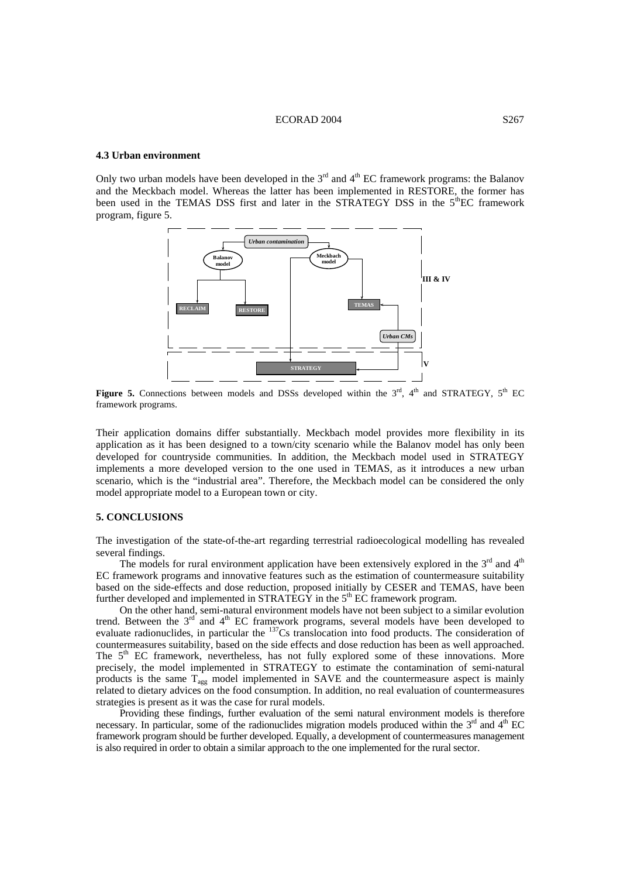## ECORAD 2004 S267

# **4.3 Urban environment**

Only two urban models have been developed in the  $3<sup>rd</sup>$  and  $4<sup>th</sup>$  EC framework programs: the Balanov and the Meckbach model. Whereas the latter has been implemented in RESTORE, the former has been used in the TEMAS DSS first and later in the STRATEGY DSS in the 5<sup>th</sup>EC framework program, figure 5.



Figure 5. Connections between models and DSSs developed within the 3<sup>rd</sup>, 4<sup>th</sup> and STRATEGY, 5<sup>th</sup> EC framework programs.

Their application domains differ substantially. Meckbach model provides more flexibility in its application as it has been designed to a town/city scenario while the Balanov model has only been developed for countryside communities. In addition, the Meckbach model used in STRATEGY implements a more developed version to the one used in TEMAS, as it introduces a new urban scenario, which is the "industrial area". Therefore, the Meckbach model can be considered the only model appropriate model to a European town or city.

#### **5. CONCLUSIONS**

The investigation of the state-of-the-art regarding terrestrial radioecological modelling has revealed several findings.

The models for rural environment application have been extensively explored in the  $3<sup>rd</sup>$  and  $4<sup>th</sup>$ EC framework programs and innovative features such as the estimation of countermeasure suitability based on the side-effects and dose reduction, proposed initially by CESER and TEMAS, have been further developed and implemented in  $STRAT\overline{E}G\overline{Y}$  in the  $5<sup>th</sup>$  EC framework program.

On the other hand, semi-natural environment models have not been subject to a similar evolution trend. Between the  $3<sup>rd</sup>$  and  $4<sup>th</sup>$  EC framework programs, several models have been developed to evaluate radionuclides, in particular the <sup>137</sup>Cs translocation into food products. The consideration of countermeasures suitability, based on the side effects and dose reduction has been as well approached. The  $5<sup>th</sup>$  EC framework, nevertheless, has not fully explored some of these innovations. More precisely, the model implemented in STRATEGY to estimate the contamination of semi-natural products is the same  $T_{\text{agg}}$  model implemented in SAVE and the countermeasure aspect is mainly related to dietary advices on the food consumption. In addition, no real evaluation of countermeasures strategies is present as it was the case for rural models.

Providing these findings, further evaluation of the semi natural environment models is therefore necessary. In particular, some of the radionuclides migration models produced within the  $3<sup>rd</sup>$  and  $4<sup>th</sup>$  EC framework program should be further developed. Equally, a development of countermeasures management is also required in order to obtain a similar approach to the one implemented for the rural sector.